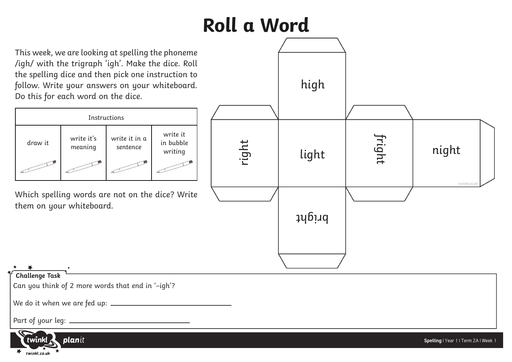## **Roll a Word**

This week, we are looking at spelling the phoneme /igh/ with the trigraph 'igh'. Make the dice. Roll the spelling dice and then pick one instruction to follow. Write your answers on your whiteboard. Do this for each word on the dice.

| Instructions |                       |                           |                                  |
|--------------|-----------------------|---------------------------|----------------------------------|
| draw it      | write it's<br>meaning | write it in a<br>sentence | write it<br>in bubble<br>writing |
|              |                       |                           |                                  |

Which spelling words are not on the dice? Write them on your whiteboard.



## **Challenge Task**

Can you think of 2 more words that end in '–igh'?

We do it when we are fed up:

Part of your leg: